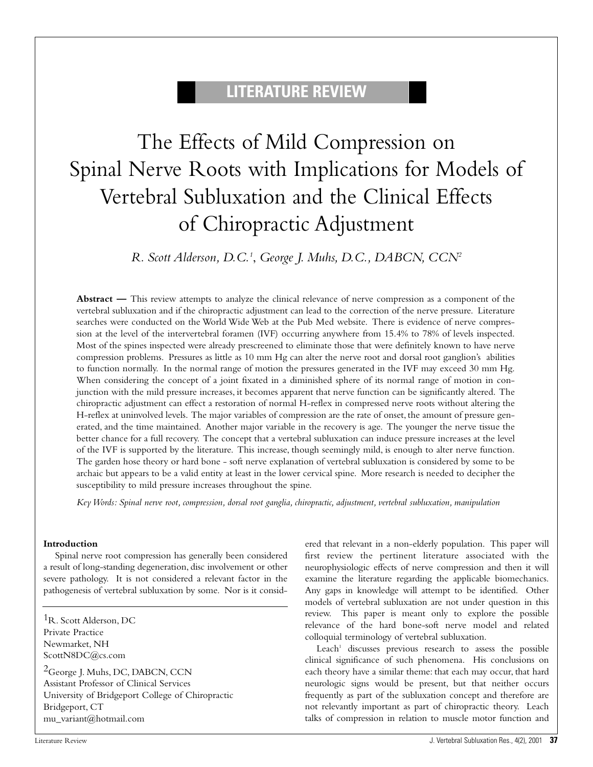# **LITERATURE REVIEW**

# The Effects of Mild Compression on Spinal Nerve Roots with Implications for Models of Vertebral Subluxation and the Clinical Effects of Chiropractic Adjustment

*R. Scott Alderson, D.C.1* , *George J. Muhs, D.C., DABCN, CCN2*

**Abstract —** This review attempts to analyze the clinical relevance of nerve compression as a component of the vertebral subluxation and if the chiropractic adjustment can lead to the correction of the nerve pressure. Literature searches were conducted on the World Wide Web at the Pub Med website. There is evidence of nerve compression at the level of the intervertebral foramen (IVF) occurring anywhere from 15.4% to 78% of levels inspected. Most of the spines inspected were already prescreened to eliminate those that were definitely known to have nerve compression problems. Pressures as little as 10 mm Hg can alter the nerve root and dorsal root ganglion's abilities to function normally. In the normal range of motion the pressures generated in the IVF may exceed 30 mm Hg. When considering the concept of a joint fixated in a diminished sphere of its normal range of motion in conjunction with the mild pressure increases, it becomes apparent that nerve function can be significantly altered. The chiropractic adjustment can effect a restoration of normal H-reflex in compressed nerve roots without altering the H-reflex at uninvolved levels. The major variables of compression are the rate of onset, the amount of pressure generated, and the time maintained. Another major variable in the recovery is age. The younger the nerve tissue the better chance for a full recovery. The concept that a vertebral subluxation can induce pressure increases at the level of the IVF is supported by the literature. This increase, though seemingly mild, is enough to alter nerve function. The garden hose theory or hard bone - soft nerve explanation of vertebral subluxation is considered by some to be archaic but appears to be a valid entity at least in the lower cervical spine. More research is needed to decipher the susceptibility to mild pressure increases throughout the spine.

*Key Words: Spinal nerve root, compression, dorsal root ganglia, chiropractic, adjustment, vertebral subluxation, manipulation*

#### **Introduction**

Spinal nerve root compression has generally been considered a result of long-standing degeneration, disc involvement or other severe pathology. It is not considered a relevant factor in the pathogenesis of vertebral subluxation by some. Nor is it consid-

1R. Scott Alderson, DC Private Practice Newmarket, NH ScottN8DC@cs.com

<sup>2</sup>George J. Muhs, DC, DABCN, CCN Assistant Professor of Clinical Services University of Bridgeport College of Chiropractic Bridgeport, CT mu\_variant@hotmail.com

ered that relevant in a non-elderly population. This paper will first review the pertinent literature associated with the neurophysiologic effects of nerve compression and then it will examine the literature regarding the applicable biomechanics. Any gaps in knowledge will attempt to be identified. Other models of vertebral subluxation are not under question in this review. This paper is meant only to explore the possible relevance of the hard bone-soft nerve model and related colloquial terminology of vertebral subluxation.

Leach<sup>1</sup> discusses previous research to assess the possible clinical significance of such phenomena. His conclusions on each theory have a similar theme: that each may occur, that hard neurologic signs would be present, but that neither occurs frequently as part of the subluxation concept and therefore are not relevantly important as part of chiropractic theory. Leach talks of compression in relation to muscle motor function and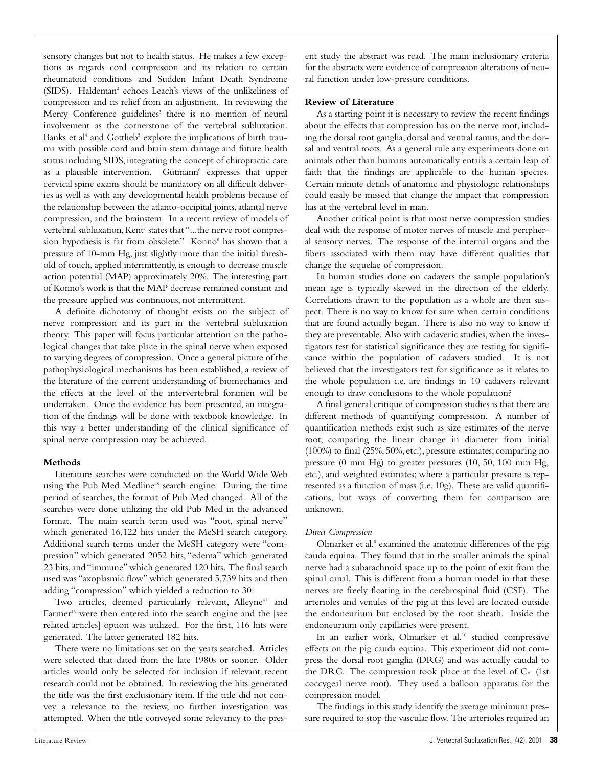sensory changes but not to health status. He makes a few exceptions as regards cord compression and its relation to certain rheumatoid conditions and Sudden Infant Death Syndrome (SIDS). Haldeman<sup>2</sup> echoes Leach's views of the unlikeliness of compression and its relief from an adjustment. In reviewing the Mercy Conference guidelines<sup>3</sup> there is no mention of neural involvement as the cornerstone of the vertebral subluxation. Banks et al<sup>4</sup> and Gottlieb<sup>5</sup> explore the implications of birth trauma with possible cord and brain stem damage and future health status including SIDS, integrating the concept of chiropractic care as a plausible intervention. Gutmann<sup>6</sup> expresses that upper cervical spine exams should be mandatory on all difficult deliveries as well as with any developmental health problems because of the relationship between the atlanto-occipital joints, atlantal nerve compression, and the brainstem. In a recent review of models of vertebral subluxation, Kent<sup>7</sup> states that "...the nerve root compression hypothesis is far from obsolete." Konno<sup>8</sup> has shown that a pressure of 10-mm Hg, just slightly more than the initial threshold of touch, applied intermittently, is enough to decrease muscle action potential (MAP) approximately 20%. The interesting part of Konno's work is that the MAP decrease remained constant and the pressure applied was continuous, not intermittent.

A definite dichotomy of thought exists on the subject of nerve compression and its part in the vertebral subluxation theory. This paper will focus particular attention on the pathological changes that take place in the spinal nerve when exposed to varying degrees of compression. Once a general picture of the pathophysiological mechanisms has been established, a review of the literature of the current understanding of biomechanics and the effects at the level of the intervertebral foramen will be undertaken. Once the evidence has been presented, an integration of the findings will be done with textbook knowledge. In this way a better understanding of the clinical significance of spinal nerve compression may be achieved.

#### **Methods**

Literature searches were conducted on the World Wide Web using the Pub Med Medline<sup>48</sup> search engine. During the time period of searches, the format of Pub Med changed. All of the searches were done utilizing the old Pub Med in the advanced format. The main search term used was "root, spinal nerve" which generated 16,122 hits under the MeSH search category. Additional search terms under the MeSH category were "compression" which generated 2052 hits, "edema" which generated 23 hits, and "immune" which generated 120 hits. The final search used was "axoplasmic flow" which generated 5,739 hits and then adding "compression" which yielded a reduction to 30.

Two articles, deemed particularly relevant, Alleyne<sup>41</sup> and Farmer<sup>43</sup> were then entered into the search engine and the [see related articles] option was utilized. For the first, 116 hits were generated. The latter generated 182 hits.

There were no limitations set on the years searched. Articles were selected that dated from the late 1980s or sooner. Older articles would only be selected for inclusion if relevant recent research could not be obtained. In reviewing the hits generated the title was the first exclusionary item. If the title did not convey a relevance to the review, no further investigation was attempted. When the title conveyed some relevancy to the present study the abstract was read. The main inclusionary criteria for the abstracts were evidence of compression alterations of neural function under low-pressure conditions.

#### **Review of Literature**

As a starting point it is necessary to review the recent findings about the effects that compression has on the nerve root, including the dorsal root ganglia, dorsal and ventral ramus, and the dorsal and ventral roots. As a general rule any experiments done on animals other than humans automatically entails a certain leap of faith that the findings are applicable to the human species. Certain minute details of anatomic and physiologic relationships could easily be missed that change the impact that compression has at the vertebral level in man.

Another critical point is that most nerve compression studies deal with the response of motor nerves of muscle and peripheral sensory nerves. The response of the internal organs and the fibers associated with them may have different qualities that change the sequelae of compression.

In human studies done on cadavers the sample population's mean age is typically skewed in the direction of the elderly. Correlations drawn to the population as a whole are then suspect. There is no way to know for sure when certain conditions that are found actually began. There is also no way to know if they are preventable. Also with cadaveric studies, when the investigators test for statistical significance they are testing for significance within the population of cadavers studied. It is not believed that the investigators test for significance as it relates to the whole population i.e. are findings in 10 cadavers relevant enough to draw conclusions to the whole population?

A final general critique of compression studies is that there are different methods of quantifying compression. A number of quantification methods exist such as size estimates of the nerve root; comparing the linear change in diameter from initial (100%) to final (25%, 50%, etc.), pressure estimates; comparing no pressure (0 mm Hg) to greater pressures (10, 50, 100 mm Hg, etc.), and weighted estimates; where a particular pressure is represented as a function of mass (i.e. 10g). These are valid quantifications, but ways of converting them for comparison are unknown.

# *Direct Compression*

Olmarker et al.9 examined the anatomic differences of the pig cauda equina. They found that in the smaller animals the spinal nerve had a subarachnoid space up to the point of exit from the spinal canal. This is different from a human model in that these nerves are freely floating in the cerebrospinal fluid (CSF). The arterioles and venules of the pig at this level are located outside the endoneurium but enclosed by the root sheath. Inside the endoneurium only capillaries were present.

In an earlier work, Olmarker et al.<sup>10</sup> studied compressive effects on the pig cauda equina. This experiment did not compress the dorsal root ganglia (DRG) and was actually caudal to the DRG. The compression took place at the level of  $C_{x1}$  (1st coccygeal nerve root). They used a balloon apparatus for the compression model.

The findings in this study identify the average minimum pressure required to stop the vascular flow. The arterioles required an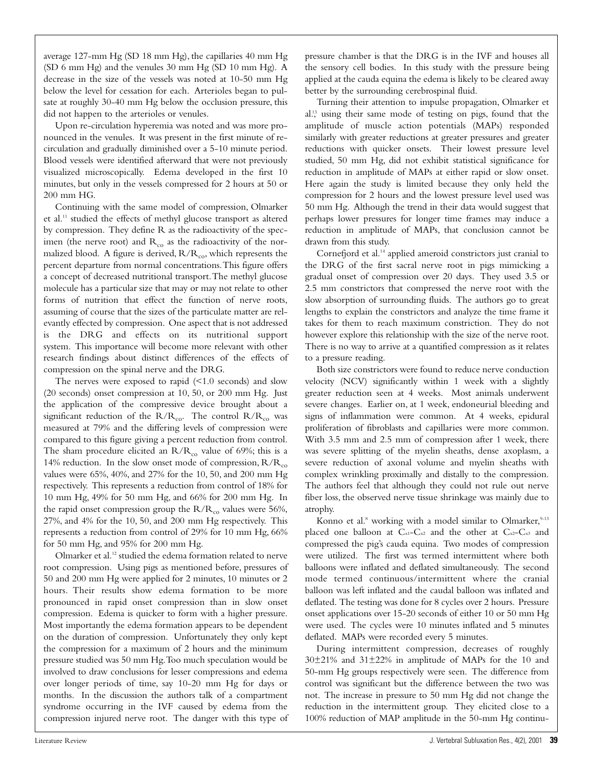average 127-mm Hg (SD 18 mm Hg), the capillaries 40 mm Hg (SD 6 mm Hg) and the venules 30 mm Hg (SD 10 mm Hg). A decrease in the size of the vessels was noted at 10-50 mm Hg below the level for cessation for each. Arterioles began to pulsate at roughly 30-40 mm Hg below the occlusion pressure, this did not happen to the arterioles or venules.

Upon re-circulation hyperemia was noted and was more pronounced in the venules. It was present in the first minute of recirculation and gradually diminished over a 5-10 minute period. Blood vessels were identified afterward that were not previously visualized microscopically. Edema developed in the first 10 minutes, but only in the vessels compressed for 2 hours at 50 or 200 mm HG.

Continuing with the same model of compression, Olmarker et al.11 studied the effects of methyl glucose transport as altered by compression. They define R as the radioactivity of the specimen (the nerve root) and  $R_{co}$  as the radioactivity of the normalized blood. A figure is derived,  $R/R<sub>co</sub>$ , which represents the percent departure from normal concentrations.This figure offers a concept of decreased nutritional transport.The methyl glucose molecule has a particular size that may or may not relate to other forms of nutrition that effect the function of nerve roots, assuming of course that the sizes of the particulate matter are relevantly effected by compression. One aspect that is not addressed is the DRG and effects on its nutritional support system. This importance will become more relevant with other research findings about distinct differences of the effects of compression on the spinal nerve and the DRG.

The nerves were exposed to rapid  $\leq 1.0$  seconds) and slow (20 seconds) onset compression at 10, 50, or 200 mm Hg. Just the application of the compressive device brought about a significant reduction of the  $R/R_{co}$ . The control  $R/R_{co}$  was measured at 79% and the differing levels of compression were compared to this figure giving a percent reduction from control. The sham procedure elicited an  $R/R_{co}$  value of 69%; this is a 14% reduction. In the slow onset mode of compression,  $R/R_{co}$ values were 65%, 40%, and 27% for the 10, 50, and 200 mm Hg respectively. This represents a reduction from control of 18% for 10 mm Hg, 49% for 50 mm Hg, and 66% for 200 mm Hg. In the rapid onset compression group the  $R/R_{co}$  values were 56%, 27%, and 4% for the 10, 50, and 200 mm Hg respectively. This represents a reduction from control of 29% for 10 mm Hg, 66% for 50 mm Hg, and 95% for 200 mm Hg.

Olmarker et al.12 studied the edema formation related to nerve root compression. Using pigs as mentioned before, pressures of 50 and 200 mm Hg were applied for 2 minutes, 10 minutes or 2 hours. Their results show edema formation to be more pronounced in rapid onset compression than in slow onset compression. Edema is quicker to form with a higher pressure. Most importantly the edema formation appears to be dependent on the duration of compression. Unfortunately they only kept the compression for a maximum of 2 hours and the minimum pressure studied was 50 mm Hg.Too much speculation would be involved to draw conclusions for lesser compressions and edema over longer periods of time, say 10-20 mm Hg for days or months. In the discussion the authors talk of a compartment syndrome occurring in the IVF caused by edema from the compression injured nerve root. The danger with this type of

pressure chamber is that the DRG is in the IVF and houses all the sensory cell bodies. In this study with the pressure being applied at the cauda equina the edema is likely to be cleared away better by the surrounding cerebrospinal fluid.

Turning their attention to impulse propagation, Olmarker et al.<sup>13</sup> using their same mode of testing on pigs, found that the amplitude of muscle action potentials (MAPs) responded similarly with greater reductions at greater pressures and greater reductions with quicker onsets. Their lowest pressure level studied, 50 mm Hg, did not exhibit statistical significance for reduction in amplitude of MAPs at either rapid or slow onset. Here again the study is limited because they only held the compression for 2 hours and the lowest pressure level used was 50 mm Hg. Although the trend in their data would suggest that perhaps lower pressures for longer time frames may induce a reduction in amplitude of MAPs, that conclusion cannot be drawn from this study.

Cornefjord et al.<sup>14</sup> applied ameroid constrictors just cranial to the DRG of the first sacral nerve root in pigs mimicking a gradual onset of compression over 20 days. They used 3.5 or 2.5 mm constrictors that compressed the nerve root with the slow absorption of surrounding fluids. The authors go to great lengths to explain the constrictors and analyze the time frame it takes for them to reach maximum constriction. They do not however explore this relationship with the size of the nerve root. There is no way to arrive at a quantified compression as it relates to a pressure reading.

Both size constrictors were found to reduce nerve conduction velocity (NCV) significantly within 1 week with a slightly greater reduction seen at 4 weeks. Most animals underwent severe changes. Earlier on, at 1 week, endoneurial bleeding and signs of inflammation were common. At 4 weeks, epidural proliferation of fibroblasts and capillaries were more common. With 3.5 mm and 2.5 mm of compression after 1 week, there was severe splitting of the myelin sheaths, dense axoplasm, a severe reduction of axonal volume and myelin sheaths with complex wrinkling proximally and distally to the compression. The authors feel that although they could not rule out nerve fiber loss, the observed nerve tissue shrinkage was mainly due to atrophy.

Konno et al.<sup>8</sup> working with a model similar to Olmarker,  $9-13$ placed one balloon at Cx1-Cx2 and the other at Cx2-Cx3 and compressed the pig's cauda equina. Two modes of compression were utilized. The first was termed intermittent where both balloons were inflated and deflated simultaneously. The second mode termed continuous/intermittent where the cranial balloon was left inflated and the caudal balloon was inflated and deflated. The testing was done for 8 cycles over 2 hours. Pressure onset applications over 15-20 seconds of either 10 or 50 mm Hg were used. The cycles were 10 minutes inflated and 5 minutes deflated. MAPs were recorded every 5 minutes.

During intermittent compression, decreases of roughly 30±21% and 31±22% in amplitude of MAPs for the 10 and 50-mm Hg groups respectively were seen. The difference from control was significant but the difference between the two was not. The increase in pressure to 50 mm Hg did not change the reduction in the intermittent group. They elicited close to a 100% reduction of MAP amplitude in the 50-mm Hg continu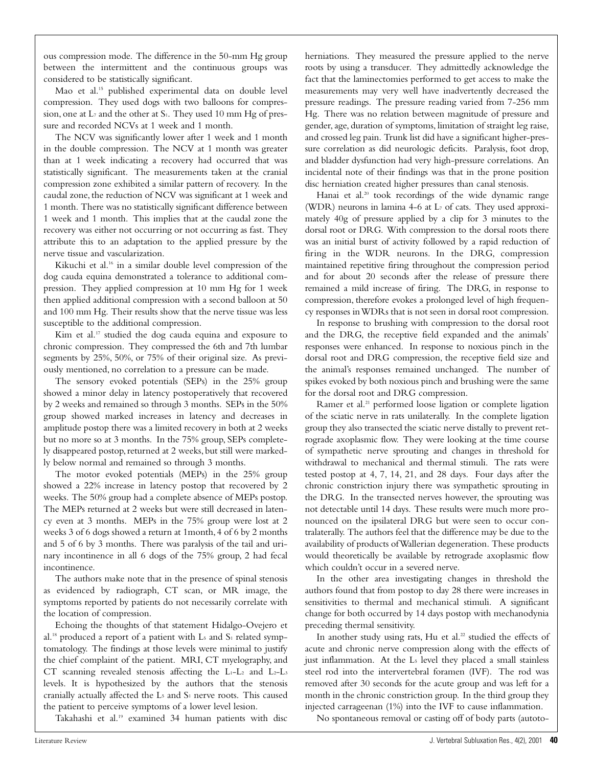ous compression mode. The difference in the 50-mm Hg group between the intermittent and the continuous groups was considered to be statistically significant.

Mao et al.15 published experimental data on double level compression. They used dogs with two balloons for compression, one at  $L_7$  and the other at  $S_1$ . They used 10 mm Hg of pressure and recorded NCVs at 1 week and 1 month.

The NCV was significantly lower after 1 week and 1 month in the double compression. The NCV at 1 month was greater than at 1 week indicating a recovery had occurred that was statistically significant. The measurements taken at the cranial compression zone exhibited a similar pattern of recovery. In the caudal zone, the reduction of NCV was significant at 1 week and 1 month. There was no statistically significant difference between 1 week and 1 month. This implies that at the caudal zone the recovery was either not occurring or not occurring as fast. They attribute this to an adaptation to the applied pressure by the nerve tissue and vascularization.

Kikuchi et al.16 in a similar double level compression of the dog cauda equina demonstrated a tolerance to additional compression. They applied compression at 10 mm Hg for 1 week then applied additional compression with a second balloon at 50 and 100 mm Hg. Their results show that the nerve tissue was less susceptible to the additional compression.

Kim et al.<sup>17</sup> studied the dog cauda equina and exposure to chronic compression. They compressed the 6th and 7th lumbar segments by 25%, 50%, or 75% of their original size. As previously mentioned, no correlation to a pressure can be made.

The sensory evoked potentials (SEPs) in the 25% group showed a minor delay in latency postoperatively that recovered by 2 weeks and remained so through 3 months. SEPs in the 50% group showed marked increases in latency and decreases in amplitude postop there was a limited recovery in both at 2 weeks but no more so at 3 months. In the 75% group, SEPs completely disappeared postop, returned at 2 weeks, but still were markedly below normal and remained so through 3 months.

The motor evoked potentials (MEPs) in the 25% group showed a 22% increase in latency postop that recovered by 2 weeks. The 50% group had a complete absence of MEPs postop. The MEPs returned at 2 weeks but were still decreased in latency even at 3 months. MEPs in the 75% group were lost at 2 weeks 3 of 6 dogs showed a return at 1month,4 of 6 by 2 months and 5 of 6 by 3 months. There was paralysis of the tail and urinary incontinence in all 6 dogs of the 75% group, 2 had fecal incontinence.

The authors make note that in the presence of spinal stenosis as evidenced by radiograph, CT scan, or MR image, the symptoms reported by patients do not necessarily correlate with the location of compression.

Echoing the thoughts of that statement Hidalgo-Ovejero et al.<sup>18</sup> produced a report of a patient with  $L_5$  and  $S_1$  related symptomatology. The findings at those levels were minimal to justify the chief complaint of the patient. MRI, CT myelography, and CT scanning revealed stenosis affecting the  $L_1-L_2$  and  $L_2-L_3$ levels. It is hypothesized by the authors that the stenosis cranially actually affected the  $L_5$  and  $S_1$  nerve roots. This caused the patient to perceive symptoms of a lower level lesion.

Takahashi et al.19 examined 34 human patients with disc

herniations. They measured the pressure applied to the nerve roots by using a transducer. They admittedly acknowledge the fact that the laminectomies performed to get access to make the measurements may very well have inadvertently decreased the pressure readings. The pressure reading varied from 7-256 mm Hg. There was no relation between magnitude of pressure and gender, age, duration of symptoms, limitation of straight leg raise, and crossed leg pain. Trunk list did have a significant higher-pressure correlation as did neurologic deficits. Paralysis, foot drop, and bladder dysfunction had very high-pressure correlations. An incidental note of their findings was that in the prone position disc herniation created higher pressures than canal stenosis.

Hanai et al.<sup>20</sup> took recordings of the wide dynamic range (WDR) neurons in lamina 4-6 at L7 of cats. They used approximately 40g of pressure applied by a clip for 3 minutes to the dorsal root or DRG. With compression to the dorsal roots there was an initial burst of activity followed by a rapid reduction of firing in the WDR neurons. In the DRG, compression maintained repetitive firing throughout the compression period and for about 20 seconds after the release of pressure there remained a mild increase of firing. The DRG, in response to compression, therefore evokes a prolonged level of high frequency responses in WDRs that is not seen in dorsal root compression.

In response to brushing with compression to the dorsal root and the DRG, the receptive field expanded and the animals' responses were enhanced. In response to noxious pinch in the dorsal root and DRG compression, the receptive field size and the animal's responses remained unchanged. The number of spikes evoked by both noxious pinch and brushing were the same for the dorsal root and DRG compression.

Ramer et al.<sup>21</sup> performed loose ligation or complete ligation of the sciatic nerve in rats unilaterally. In the complete ligation group they also transected the sciatic nerve distally to prevent retrograde axoplasmic flow. They were looking at the time course of sympathetic nerve sprouting and changes in threshold for withdrawal to mechanical and thermal stimuli. The rats were tested postop at 4, 7, 14, 21, and 28 days. Four days after the chronic constriction injury there was sympathetic sprouting in the DRG. In the transected nerves however, the sprouting was not detectable until 14 days. These results were much more pronounced on the ipsilateral DRG but were seen to occur contralaterally. The authors feel that the difference may be due to the availability of products of Wallerian degeneration. These products would theoretically be available by retrograde axoplasmic flow which couldn't occur in a severed nerve.

In the other area investigating changes in threshold the authors found that from postop to day 28 there were increases in sensitivities to thermal and mechanical stimuli. A significant change for both occurred by 14 days postop with mechanodynia preceding thermal sensitivity.

In another study using rats, Hu et al.<sup>22</sup> studied the effects of acute and chronic nerve compression along with the effects of just inflammation. At the L<sub>5</sub> level they placed a small stainless steel rod into the intervertebral foramen (IVF). The rod was removed after 30 seconds for the acute group and was left for a month in the chronic constriction group. In the third group they injected carrageenan (1%) into the IVF to cause inflammation.

No spontaneous removal or casting off of body parts (autoto-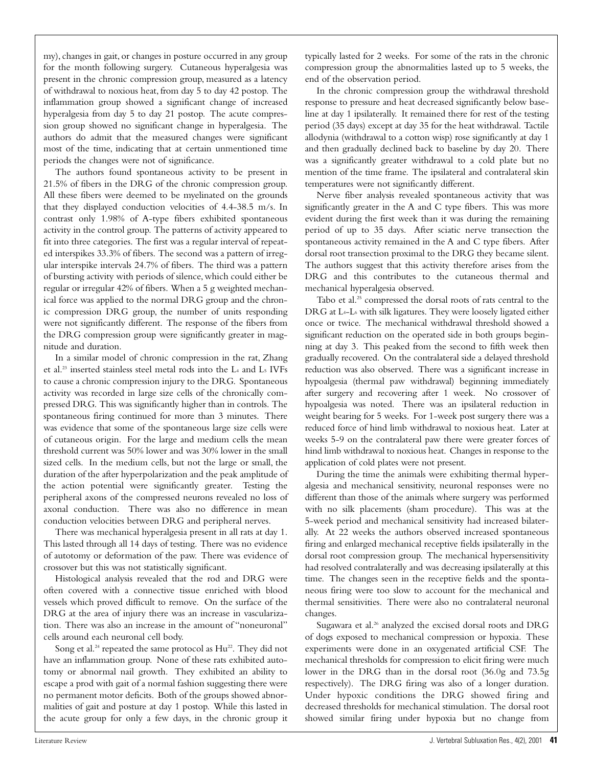my), changes in gait, or changes in posture occurred in any group for the month following surgery. Cutaneous hyperalgesia was present in the chronic compression group, measured as a latency of withdrawal to noxious heat, from day 5 to day 42 postop. The inflammation group showed a significant change of increased hyperalgesia from day 5 to day 21 postop. The acute compression group showed no significant change in hyperalgesia. The authors do admit that the measured changes were significant most of the time, indicating that at certain unmentioned time periods the changes were not of significance.

The authors found spontaneous activity to be present in 21.5% of fibers in the DRG of the chronic compression group. All these fibers were deemed to be myelinated on the grounds that they displayed conduction velocities of 4.4-38.5 m/s. In contrast only 1.98% of A-type fibers exhibited spontaneous activity in the control group. The patterns of activity appeared to fit into three categories. The first was a regular interval of repeated interspikes 33.3% of fibers. The second was a pattern of irregular interspike intervals 24.7% of fibers. The third was a pattern of bursting activity with periods of silence, which could either be regular or irregular 42% of fibers. When a 5 g weighted mechanical force was applied to the normal DRG group and the chronic compression DRG group, the number of units responding were not significantly different. The response of the fibers from the DRG compression group were significantly greater in magnitude and duration.

In a similar model of chronic compression in the rat, Zhang et al.23 inserted stainless steel metal rods into the L4 and L5 IVFs to cause a chronic compression injury to the DRG. Spontaneous activity was recorded in large size cells of the chronically compressed DRG. This was significantly higher than in controls. The spontaneous firing continued for more than 3 minutes. There was evidence that some of the spontaneous large size cells were of cutaneous origin. For the large and medium cells the mean threshold current was 50% lower and was 30% lower in the small sized cells. In the medium cells, but not the large or small, the duration of the after hyperpolarization and the peak amplitude of the action potential were significantly greater. Testing the peripheral axons of the compressed neurons revealed no loss of axonal conduction. There was also no difference in mean conduction velocities between DRG and peripheral nerves.

There was mechanical hyperalgesia present in all rats at day 1. This lasted through all 14 days of testing. There was no evidence of autotomy or deformation of the paw. There was evidence of crossover but this was not statistically significant.

Histological analysis revealed that the rod and DRG were often covered with a connective tissue enriched with blood vessels which proved difficult to remove. On the surface of the DRG at the area of injury there was an increase in vascularization. There was also an increase in the amount of "noneuronal" cells around each neuronal cell body.

Song et al.<sup>24</sup> repeated the same protocol as Hu<sup>22</sup>. They did not have an inflammation group. None of these rats exhibited autotomy or abnormal nail growth. They exhibited an ability to escape a prod with gait of a normal fashion suggesting there were no permanent motor deficits. Both of the groups showed abnormalities of gait and posture at day 1 postop. While this lasted in the acute group for only a few days, in the chronic group it

typically lasted for 2 weeks. For some of the rats in the chronic compression group the abnormalities lasted up to 5 weeks, the end of the observation period.

In the chronic compression group the withdrawal threshold response to pressure and heat decreased significantly below baseline at day 1 ipsilaterally. It remained there for rest of the testing period (35 days) except at day 35 for the heat withdrawal. Tactile allodynia (withdrawal to a cotton wisp) rose significantly at day 1 and then gradually declined back to baseline by day 20. There was a significantly greater withdrawal to a cold plate but no mention of the time frame. The ipsilateral and contralateral skin temperatures were not significantly different.

Nerve fiber analysis revealed spontaneous activity that was significantly greater in the A and C type fibers. This was more evident during the first week than it was during the remaining period of up to 35 days. After sciatic nerve transection the spontaneous activity remained in the A and C type fibers. After dorsal root transection proximal to the DRG they became silent. The authors suggest that this activity therefore arises from the DRG and this contributes to the cutaneous thermal and mechanical hyperalgesia observed.

Tabo et al.<sup>25</sup> compressed the dorsal roots of rats central to the DRG at L4-L6 with silk ligatures. They were loosely ligated either once or twice. The mechanical withdrawal threshold showed a significant reduction on the operated side in both groups beginning at day 3. This peaked from the second to fifth week then gradually recovered. On the contralateral side a delayed threshold reduction was also observed. There was a significant increase in hypoalgesia (thermal paw withdrawal) beginning immediately after surgery and recovering after 1 week. No crossover of hypoalgesia was noted. There was an ipsilateral reduction in weight bearing for 5 weeks. For 1-week post surgery there was a reduced force of hind limb withdrawal to noxious heat. Later at weeks 5-9 on the contralateral paw there were greater forces of hind limb withdrawal to noxious heat. Changes in response to the application of cold plates were not present.

During the time the animals were exhibiting thermal hyperalgesia and mechanical sensitivity, neuronal responses were no different than those of the animals where surgery was performed with no silk placements (sham procedure). This was at the 5-week period and mechanical sensitivity had increased bilaterally. At 22 weeks the authors observed increased spontaneous firing and enlarged mechanical receptive fields ipsilaterally in the dorsal root compression group. The mechanical hypersensitivity had resolved contralaterally and was decreasing ipsilaterally at this time. The changes seen in the receptive fields and the spontaneous firing were too slow to account for the mechanical and thermal sensitivities. There were also no contralateral neuronal changes.

Sugawara et al.<sup>26</sup> analyzed the excised dorsal roots and DRG of dogs exposed to mechanical compression or hypoxia. These experiments were done in an oxygenated artificial CSF. The mechanical thresholds for compression to elicit firing were much lower in the DRG than in the dorsal root (36.0g and 73.5g respectively). The DRG firing was also of a longer duration. Under hypoxic conditions the DRG showed firing and decreased thresholds for mechanical stimulation. The dorsal root showed similar firing under hypoxia but no change from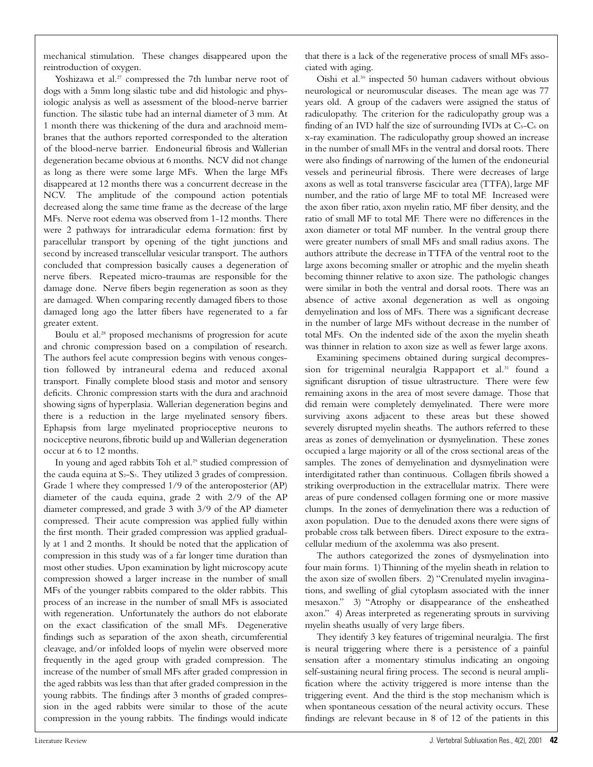mechanical stimulation. These changes disappeared upon the reintroduction of oxygen.

Yoshizawa et al.<sup>27</sup> compressed the 7th lumbar nerve root of dogs with a 5mm long silastic tube and did histologic and physiologic analysis as well as assessment of the blood-nerve barrier function. The silastic tube had an internal diameter of 3 mm. At 1 month there was thickening of the dura and arachnoid membranes that the authors reported corresponded to the alteration of the blood-nerve barrier. Endoneurial fibrosis and Wallerian degeneration became obvious at 6 months. NCV did not change as long as there were some large MFs. When the large MFs disappeared at 12 months there was a concurrent decrease in the NCV. The amplitude of the compound action potentials decreased along the same time frame as the decrease of the large MFs. Nerve root edema was observed from 1-12 months. There were 2 pathways for intraradicular edema formation: first by paracellular transport by opening of the tight junctions and second by increased transcellular vesicular transport. The authors concluded that compression basically causes a degeneration of nerve fibers. Repeated micro-traumas are responsible for the damage done. Nerve fibers begin regeneration as soon as they are damaged. When comparing recently damaged fibers to those damaged long ago the latter fibers have regenerated to a far greater extent.

Boulu et al.28 proposed mechanisms of progression for acute and chronic compression based on a compilation of research. The authors feel acute compression begins with venous congestion followed by intraneural edema and reduced axonal transport. Finally complete blood stasis and motor and sensory deficits. Chronic compression starts with the dura and arachnoid showing signs of hyperplasia. Wallerian degeneration begins and there is a reduction in the large myelinated sensory fibers. Ephapsis from large myelinated proprioceptive neurons to nociceptive neurons,fibrotic build up and Wallerian degeneration occur at 6 to 12 months.

In young and aged rabbits Toh et al.<sup>29</sup> studied compression of the cauda equina at  $S_2-S_3$ . They utilized 3 grades of compression. Grade 1 where they compressed 1/9 of the anteroposterior (AP) diameter of the cauda equina, grade 2 with 2/9 of the AP diameter compressed, and grade 3 with 3/9 of the AP diameter compressed. Their acute compression was applied fully within the first month. Their graded compression was applied gradually at 1 and 2 months. It should be noted that the application of compression in this study was of a far longer time duration than most other studies. Upon examination by light microscopy acute compression showed a larger increase in the number of small MFs of the younger rabbits compared to the older rabbits. This process of an increase in the number of small MFs is associated with regeneration. Unfortunately the authors do not elaborate on the exact classification of the small MFs. Degenerative findings such as separation of the axon sheath, circumferential cleavage, and/or infolded loops of myelin were observed more frequently in the aged group with graded compression. The increase of the number of small MFs after graded compression in the aged rabbits was less than that after graded compression in the young rabbits. The findings after 3 months of graded compression in the aged rabbits were similar to those of the acute compression in the young rabbits. The findings would indicate

that there is a lack of the regenerative process of small MFs associated with aging.

Oishi et al.30 inspected 50 human cadavers without obvious neurological or neuromuscular diseases. The mean age was 77 years old. A group of the cadavers were assigned the status of radiculopathy. The criterion for the radiculopathy group was a finding of an IVD half the size of surrounding IVDs at  $C_5-C_6$  on x-ray examination. The radiculopathy group showed an increase in the number of small MFs in the ventral and dorsal roots. There were also findings of narrowing of the lumen of the endoneurial vessels and perineurial fibrosis. There were decreases of large axons as well as total transverse fascicular area (TTFA), large MF number, and the ratio of large MF to total MF. Increased were the axon fiber ratio, axon myelin ratio, MF fiber density, and the ratio of small MF to total MF. There were no differences in the axon diameter or total MF number. In the ventral group there were greater numbers of small MFs and small radius axons. The authors attribute the decrease in TTFA of the ventral root to the large axons becoming smaller or atrophic and the myelin sheath becoming thinner relative to axon size. The pathologic changes were similar in both the ventral and dorsal roots. There was an absence of active axonal degeneration as well as ongoing demyelination and loss of MFs. There was a significant decrease in the number of large MFs without decrease in the number of total MFs. On the indented side of the axon the myelin sheath was thinner in relation to axon size as well as fewer large axons.

Examining specimens obtained during surgical decompression for trigeminal neuralgia Rappaport et al.<sup>31</sup> found a significant disruption of tissue ultrastructure. There were few remaining axons in the area of most severe damage. Those that did remain were completely demyelinated. There were more surviving axons adjacent to these areas but these showed severely disrupted myelin sheaths. The authors referred to these areas as zones of demyelination or dysmyelination. These zones occupied a large majority or all of the cross sectional areas of the samples. The zones of demyelination and dysmyelination were interdigitated rather than continuous. Collagen fibrils showed a striking overproduction in the extracellular matrix. There were areas of pure condensed collagen forming one or more massive clumps. In the zones of demyelination there was a reduction of axon population. Due to the denuded axons there were signs of probable cross talk between fibers. Direct exposure to the extracellular medium of the axolemma was also present.

The authors categorized the zones of dysmyelination into four main forms. 1) Thinning of the myelin sheath in relation to the axon size of swollen fibers. 2) "Crenulated myelin invaginations, and swelling of glial cytoplasm associated with the inner mesaxon." 3) "Atrophy or disappearance of the ensheathed axon." 4) Areas interpreted as regenerating sprouts in surviving myelin sheaths usually of very large fibers.

They identify 3 key features of trigeminal neuralgia. The first is neural triggering where there is a persistence of a painful sensation after a momentary stimulus indicating an ongoing self-sustaining neural firing process. The second is neural amplification where the activity triggered is more intense than the triggering event. And the third is the stop mechanism which is when spontaneous cessation of the neural activity occurs. These findings are relevant because in 8 of 12 of the patients in this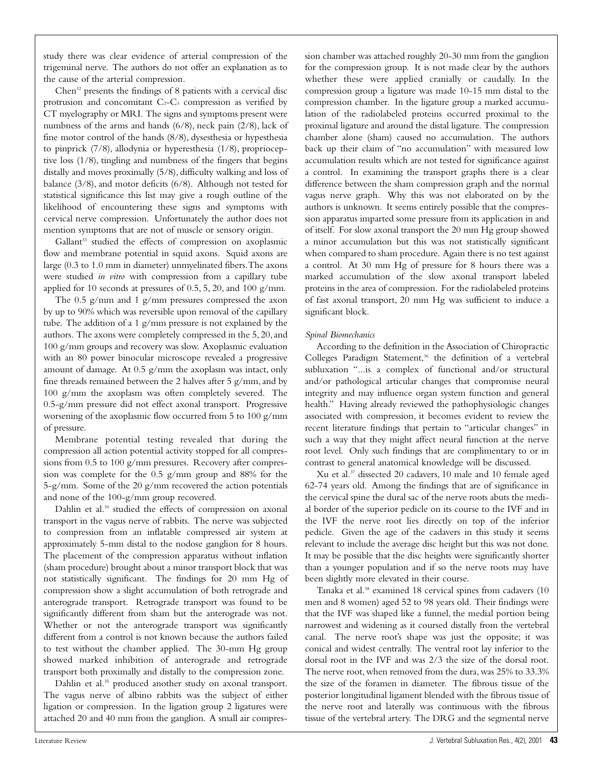study there was clear evidence of arterial compression of the trigeminal nerve. The authors do not offer an explanation as to the cause of the arterial compression.

Chen<sup>32</sup> presents the findings of 8 patients with a cervical disc protrusion and concomitant  $C_2-C_3$  compression as verified by CT myelography or MRI. The signs and symptoms present were numbness of the arms and hands (6/8), neck pain (2/8), lack of fine motor control of the hands (8/8), dysesthesia or hypesthesia to pinprick (7/8), allodynia or hyperesthesia (1/8), proprioceptive loss (1/8), tingling and numbness of the fingers that begins distally and moves proximally (5/8), difficulty walking and loss of balance (3/8), and motor deficits (6/8). Although not tested for statistical significance this list may give a rough outline of the likelihood of encountering these signs and symptoms with cervical nerve compression. Unfortunately the author does not mention symptoms that are not of muscle or sensory origin.

Gallant<sup>33</sup> studied the effects of compression on axoplasmic flow and membrane potential in squid axons. Squid axons are large (0.3 to 1.0 mm in diameter) unmyelinated fibers.The axons were studied *in vitro* with compression from a capillary tube applied for 10 seconds at pressures of 0.5, 5, 20, and 100 g/mm.

The 0.5 g/mm and 1 g/mm pressures compressed the axon by up to 90% which was reversible upon removal of the capillary tube. The addition of a 1 g/mm pressure is not explained by the authors. The axons were completely compressed in the 5, 20, and 100 g/mm groups and recovery was slow. Axoplasmic evaluation with an 80 power binocular microscope revealed a progressive amount of damage. At 0.5 g/mm the axoplasm was intact, only fine threads remained between the 2 halves after 5 g/mm, and by 100 g/mm the axoplasm was often completely severed. The 0.5-g/mm pressure did not effect axonal transport. Progressive worsening of the axoplasmic flow occurred from 5 to 100 g/mm of pressure.

Membrane potential testing revealed that during the compression all action potential activity stopped for all compressions from 0.5 to 100 g/mm pressures. Recovery after compression was complete for the 0.5 g/mm group and 88% for the 5-g/mm. Some of the 20 g/mm recovered the action potentials and none of the 100-g/mm group recovered.

Dahlin et al.<sup>34</sup> studied the effects of compression on axonal transport in the vagus nerve of rabbits. The nerve was subjected to compression from an inflatable compressed air system at approximately 5-mm distal to the nodose ganglion for 8 hours. The placement of the compression apparatus without inflation (sham procedure) brought about a minor transport block that was not statistically significant. The findings for 20 mm Hg of compression show a slight accumulation of both retrograde and anterograde transport. Retrograde transport was found to be significantly different from sham but the anterograde was not. Whether or not the anterograde transport was significantly different from a control is not known because the authors failed to test without the chamber applied. The 30-mm Hg group showed marked inhibition of anterograde and retrograde transport both proximally and distally to the compression zone.

Dahlin et al.<sup>35</sup> produced another study on axonal transport. The vagus nerve of albino rabbits was the subject of either ligation or compression. In the ligation group 2 ligatures were attached 20 and 40 mm from the ganglion. A small air compression chamber was attached roughly 20-30 mm from the ganglion for the compression group. It is not made clear by the authors whether these were applied cranially or caudally. In the compression group a ligature was made 10-15 mm distal to the compression chamber. In the ligature group a marked accumulation of the radiolabeled proteins occurred proximal to the proximal ligature and around the distal ligature. The compression chamber alone (sham) caused no accumulation. The authors back up their claim of "no accumulation" with measured low accumulation results which are not tested for significance against a control. In examining the transport graphs there is a clear difference between the sham compression graph and the normal vagus nerve graph. Why this was not elaborated on by the authors is unknown. It seems entirely possible that the compression apparatus imparted some pressure from its application in and of itself. For slow axonal transport the 20 mm Hg group showed a minor accumulation but this was not statistically significant when compared to sham procedure. Again there is no test against a control. At 30 mm Hg of pressure for 8 hours there was a marked accumulation of the slow axonal transport labeled proteins in the area of compression. For the radiolabeled proteins of fast axonal transport, 20 mm Hg was sufficient to induce a significant block.

# *Spinal Biomechanics*

According to the definition in the Association of Chiropractic Colleges Paradigm Statement,<sup>36</sup> the definition of a vertebral subluxation "...is a complex of functional and/or structural and/or pathological articular changes that compromise neural integrity and may influence organ system function and general health." Having already reviewed the pathophysiologic changes associated with compression, it becomes evident to review the recent literature findings that pertain to "articular changes" in such a way that they might affect neural function at the nerve root level. Only such findings that are complimentary to or in contrast to general anatomical knowledge will be discussed.

Xu et al.37 dissected 20 cadavers, 10 male and 10 female aged 62-74 years old. Among the findings that are of significance in the cervical spine the dural sac of the nerve roots abuts the medial border of the superior pedicle on its course to the IVF and in the IVF the nerve root lies directly on top of the inferior pedicle. Given the age of the cadavers in this study it seems relevant to include the average disc height but this was not done. It may be possible that the disc heights were significantly shorter than a younger population and if so the nerve roots may have been slightly more elevated in their course.

Tanaka et al.<sup>38</sup> examined 18 cervical spines from cadavers (10 men and 8 women) aged 52 to 98 years old. Their findings were that the IVF was shaped like a funnel, the medial portion being narrowest and widening as it coursed distally from the vertebral canal. The nerve root's shape was just the opposite; it was conical and widest centrally. The ventral root lay inferior to the dorsal root in the IVF and was 2/3 the size of the dorsal root. The nerve root, when removed from the dura, was 25% to 33.3% the size of the foramen in diameter. The fibrous tissue of the posterior longitudinal ligament blended with the fibrous tissue of the nerve root and laterally was continuous with the fibrous tissue of the vertebral artery. The DRG and the segmental nerve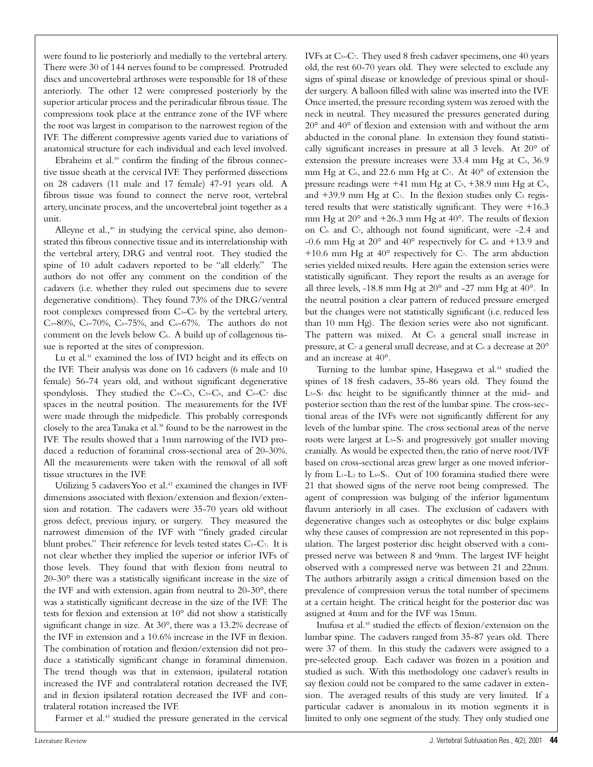were found to lie posteriorly and medially to the vertebral artery. There were 30 of 144 nerves found to be compressed. Protruded discs and uncovertebral arthroses were responsible for 18 of these anteriorly. The other 12 were compressed posteriorly by the superior articular process and the periradicular fibrous tissue. The compressions took place at the entrance zone of the IVF where the root was largest in comparison to the narrowest region of the IVF. The different compressive agents varied due to variations of anatomical structure for each individual and each level involved.

Ebraheim et al.<sup>39</sup> confirm the finding of the fibrous connective tissue sheath at the cervical IVF. They performed dissections on 28 cadavers (11 male and 17 female) 47-91 years old. A fibrous tissue was found to connect the nerve root, vertebral artery, uncinate process, and the uncovertebral joint together as a unit.

Alleyne et al., $40$  in studying the cervical spine, also demonstrated this fibrous connective tissue and its interrelationship with the vertebral artery, DRG and ventral root. They studied the spine of 10 adult cadavers reported to be "all elderly." The authors do not offer any comment on the condition of the cadavers (i.e. whether they ruled out specimens due to severe degenerative conditions). They found 73% of the DRG/ventral root complexes compressed from C<sub>3</sub>-C<sub>6</sub> by the vertebral artery,  $C_{3}-80\%$ ,  $C_{4}-70\%$ ,  $C_{5}-75\%$ , and  $C_{6}-67\%$ . The authors do not comment on the levels below C6. A build up of collagenous tissue is reported at the sites of compression.

Lu et al.<sup>41</sup> examined the loss of IVD height and its effects on the IVF. Their analysis was done on 16 cadavers (6 male and 10 female) 56-74 years old, and without significant degenerative spondylosis. They studied the  $C_4-C_5$ ,  $C_5-C_6$ , and  $C_6-C_7$  disc spaces in the neutral position. The measurements for the IVF were made through the midpedicle. This probably corresponds closely to the area Tanaka et al.<sup>38</sup> found to be the narrowest in the IVF. The results showed that a 1mm narrowing of the IVD produced a reduction of foraminal cross-sectional area of 20-30%. All the measurements were taken with the removal of all soft tissue structures in the IVF.

Utilizing 5 cadavers Yoo et al.<sup>42</sup> examined the changes in IVF dimensions associated with flexion/extension and flexion/extension and rotation. The cadavers were 35-70 years old without gross defect, previous injury, or surgery. They measured the narrowest dimension of the IVF with "finely graded circular blunt probes." Their reference for levels tested states  $C_5-C_7$ . It is not clear whether they implied the superior or inferior IVFs of those levels. They found that with flexion from neutral to 20-30° there was a statistically significant increase in the size of the IVF and with extension, again from neutral to 20-30°, there was a statistically significant decrease in the size of the IVF. The tests for flexion and extension at 10° did not show a statistically significant change in size. At 30°, there was a 13.2% decrease of the IVF in extension and a 10.6% increase in the IVF in flexion. The combination of rotation and flexion/extension did not produce a statistically significant change in foraminal dimension. The trend though was that in extension, ipsilateral rotation increased the IVF and contralateral rotation decreased the IVF, and in flexion ipsilateral rotation decreased the IVF and contralateral rotation increased the IVF.

Farmer et al.<sup>43</sup> studied the pressure generated in the cervical

IVFs at C5-C7. They used 8 fresh cadaver specimens, one 40 years old, the rest 60-70 years old. They were selected to exclude any signs of spinal disease or knowledge of previous spinal or shoulder surgery. A balloon filled with saline was inserted into the IVF. Once inserted, the pressure recording system was zeroed with the neck in neutral. They measured the pressures generated during 20° and 40° of flexion and extension with and without the arm abducted in the coronal plane. In extension they found statistically significant increases in pressure at all 3 levels. At 20° of extension the pressure increases were 33.4 mm Hg at C<sub>5</sub>, 36.9 mm Hg at  $C_6$ , and 22.6 mm Hg at  $C_7$ . At  $40^{\circ}$  of extension the pressure readings were  $+41$  mm Hg at C<sub>5</sub>,  $+38.9$  mm Hg at C<sub>6</sub>, and  $+39.9$  mm Hg at C<sub>7</sub>. In the flexion studies only C<sub>5</sub> registered results that were statistically significant. They were +16.3 mm Hg at 20° and +26.3 mm Hg at 40°. The results of flexion on  $C_6$  and  $C_7$ , although not found significant, were -2.4 and -0.6 mm Hg at  $20^{\circ}$  and  $40^{\circ}$  respectively for C<sub>6</sub> and +13.9 and  $+10.6$  mm Hg at  $40^{\circ}$  respectively for C<sub>7</sub>. The arm abduction series yielded mixed results. Here again the extension series were statistically significant. They report the results as an average for all three levels, -18.8 mm Hg at 20° and -27 mm Hg at 40°. In the neutral position a clear pattern of reduced pressure emerged but the changes were not statistically significant (i.e. reduced less than 10 mm Hg). The flexion series were also not significant. The pattern was mixed. At C<sub>5</sub> a general small increase in pressure, at  $C_7$  a general small decrease, and at  $C_6$  a decrease at  $20^{\circ}$ and an increase at 40°.

Turning to the lumbar spine, Hasegawa et al.<sup>44</sup> studied the spines of 18 fresh cadavers, 35-86 years old. They found the L5-S1 disc height to be significantly thinner at the mid- and posterior section than the rest of the lumbar spine. The cross-sectional areas of the IVFs were not significantly different for any levels of the lumbar spine. The cross sectional areas of the nerve roots were largest at  $L_5-S_1$  and progressively got smaller moving cranially. As would be expected then, the ratio of nerve root/IVF based on cross-sectional areas grew larger as one moved inferiorly from L1-L2 to L5-S1. Out of 100 foramina studied there were 21 that showed signs of the nerve root being compressed. The agent of compression was bulging of the inferior ligamentum flavum anteriorly in all cases. The exclusion of cadavers with degenerative changes such as osteophytes or disc bulge explains why these causes of compression are not represented in this population. The largest posterior disc height observed with a compressed nerve was between 8 and 9mm. The largest IVF height observed with a compressed nerve was between 21 and 22mm. The authors arbitrarily assign a critical dimension based on the prevalence of compression versus the total number of specimens at a certain height. The critical height for the posterior disc was assigned at 4mm and for the IVF was 15mm.

Inufusa et al.45 studied the effects of flexion/extension on the lumbar spine. The cadavers ranged from 35-87 years old. There were 37 of them. In this study the cadavers were assigned to a pre-selected group. Each cadaver was frozen in a position and studied as such. With this methodology one cadaver's results in say flexion could not be compared to the same cadaver in extension. The averaged results of this study are very limited. If a particular cadaver is anomalous in its motion segments it is limited to only one segment of the study. They only studied one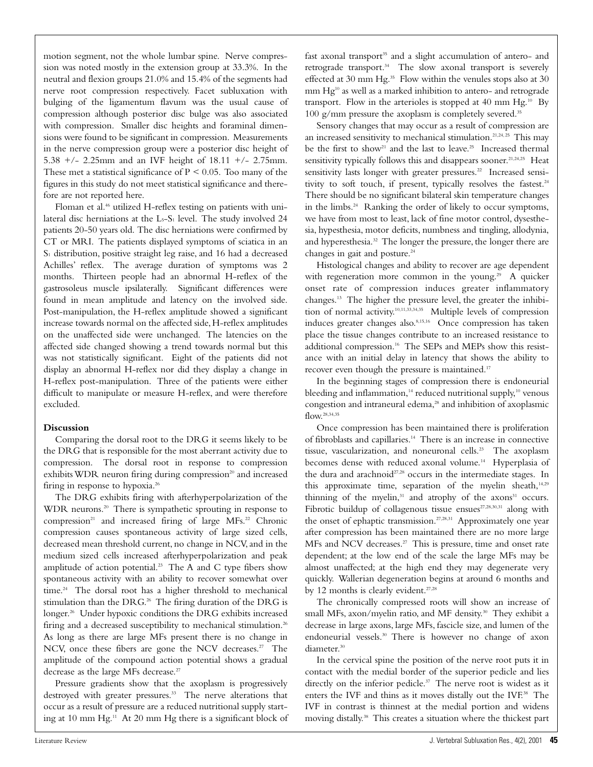motion segment, not the whole lumbar spine. Nerve compression was noted mostly in the extension group at 33.3%. In the neutral and flexion groups 21.0% and 15.4% of the segments had nerve root compression respectively. Facet subluxation with bulging of the ligamentum flavum was the usual cause of compression although posterior disc bulge was also associated with compression. Smaller disc heights and foraminal dimensions were found to be significant in compression. Measurements in the nerve compression group were a posterior disc height of 5.38 +/- 2.25mm and an IVF height of 18.11 +/- 2.75mm. These met a statistical significance of  $P \le 0.05$ . Too many of the figures in this study do not meet statistical significance and therefore are not reported here.

Floman et al.<sup>46</sup> utilized H-reflex testing on patients with unilateral disc herniations at the  $L_5$ -S<sub>1</sub> level. The study involved 24 patients 20-50 years old. The disc herniations were confirmed by CT or MRI. The patients displayed symptoms of sciatica in an S<sub>1</sub> distribution, positive straight leg raise, and 16 had a decreased Achilles' reflex. The average duration of symptoms was 2 months. Thirteen people had an abnormal H-reflex of the gastrosoleus muscle ipsilaterally. Significant differences were found in mean amplitude and latency on the involved side. Post-manipulation, the H-reflex amplitude showed a significant increase towards normal on the affected side, H-reflex amplitudes on the unaffected side were unchanged. The latencies on the affected side changed showing a trend towards normal but this was not statistically significant. Eight of the patients did not display an abnormal H-reflex nor did they display a change in H-reflex post-manipulation. Three of the patients were either difficult to manipulate or measure H-reflex, and were therefore excluded.

# **Discussion**

Comparing the dorsal root to the DRG it seems likely to be the DRG that is responsible for the most aberrant activity due to compression. The dorsal root in response to compression exhibits WDR neuron firing during compression<sup>20</sup> and increased firing in response to hypoxia.26

The DRG exhibits firing with afterhyperpolarization of the WDR neurons.<sup>20</sup> There is sympathetic sprouting in response to compression<sup>21</sup> and increased firing of large MFs.<sup>22</sup> Chronic compression causes spontaneous activity of large sized cells, decreased mean threshold current, no change in NCV, and in the medium sized cells increased afterhyperpolarization and peak amplitude of action potential.<sup>23</sup> The A and C type fibers show spontaneous activity with an ability to recover somewhat over time.<sup>24</sup> The dorsal root has a higher threshold to mechanical stimulation than the DRG.<sup>26</sup> The firing duration of the DRG is longer.<sup>26</sup> Under hypoxic conditions the DRG exhibits increased firing and a decreased susceptibility to mechanical stimulation.<sup>26</sup> As long as there are large MFs present there is no change in NCV, once these fibers are gone the NCV decreases.<sup>27</sup> The amplitude of the compound action potential shows a gradual decrease as the large MFs decrease.<sup>27</sup>

Pressure gradients show that the axoplasm is progressively destroyed with greater pressures.<sup>33</sup> The nerve alterations that occur as a result of pressure are a reduced nutritional supply starting at 10 mm Hg.11 At 20 mm Hg there is a significant block of fast axonal transport<sup>35</sup> and a slight accumulation of antero- and retrograde transport.<sup>34</sup> The slow axonal transport is severely effected at 30 mm Hg.<sup>35</sup> Flow within the venules stops also at 30 mm Hg<sup>10</sup> as well as a marked inhibition to antero- and retrograde transport. Flow in the arterioles is stopped at 40 mm Hg.<sup>10</sup> By 100 g/mm pressure the axoplasm is completely severed.<sup>35</sup>

Sensory changes that may occur as a result of compression are an increased sensitivity to mechanical stimulation.<sup>21,24, 25</sup> This may be the first to show<sup>21</sup> and the last to leave.<sup>25</sup> Increased thermal sensitivity typically follows this and disappears sooner.<sup>21,24,25</sup> Heat sensitivity lasts longer with greater pressures.<sup>22</sup> Increased sensitivity to soft touch, if present, typically resolves the fastest.<sup>24</sup> There should be no significant bilateral skin temperature changes in the limbs.<sup>24</sup> Ranking the order of likely to occur symptoms, we have from most to least, lack of fine motor control, dysesthesia, hypesthesia, motor deficits, numbness and tingling, allodynia, and hyperesthesia.32 The longer the pressure, the longer there are changes in gait and posture.<sup>24</sup>

Histological changes and ability to recover are age dependent with regeneration more common in the young.<sup>29</sup> A quicker onset rate of compression induces greater inflammatory changes.13 The higher the pressure level, the greater the inhibition of normal activity.<sup>10,11,33,34,35</sup> Multiple levels of compression induces greater changes also.<sup>8,15,16</sup> Once compression has taken place the tissue changes contribute to an increased resistance to additional compression.<sup>16</sup> The SEPs and MEPs show this resistance with an initial delay in latency that shows the ability to recover even though the pressure is maintained.<sup>17</sup>

In the beginning stages of compression there is endoneurial bleeding and inflammation,<sup>14</sup> reduced nutritional supply,<sup>10</sup> venous congestion and intraneural edema,<sup>28</sup> and inhibition of axoplasmic flow.28,34,35

Once compression has been maintained there is proliferation of fibroblasts and capillaries.14 There is an increase in connective tissue, vascularization, and noneuronal cells.<sup>23</sup> The axoplasm becomes dense with reduced axonal volume.<sup>14</sup> Hyperplasia of the dura and arachnoid<sup>27,28</sup> occurs in the intermediate stages. In this approximate time, separation of the myelin sheath, $14,29$ thinning of the myelin, $31$  and atrophy of the axons $31$  occurs. Fibrotic buildup of collagenous tissue ensues<sup>27,28,30,31</sup> along with the onset of ephaptic transmission.<sup>27,28,31</sup> Approximately one year after compression has been maintained there are no more large MFs and NCV decreases.<sup>27</sup> This is pressure, time and onset rate dependent; at the low end of the scale the large MFs may be almost unaffected; at the high end they may degenerate very quickly. Wallerian degeneration begins at around 6 months and by 12 months is clearly evident.<sup>27,28</sup>

The chronically compressed roots will show an increase of small MFs, axon/myelin ratio, and MF density.<sup>30</sup> They exhibit a decrease in large axons, large MFs, fascicle size, and lumen of the endoneurial vessels.30 There is however no change of axon diameter.<sup>30</sup>

In the cervical spine the position of the nerve root puts it in contact with the medial border of the superior pedicle and lies directly on the inferior pedicle.<sup>37</sup> The nerve root is widest as it enters the IVF and thins as it moves distally out the IVF.38 The IVF in contrast is thinnest at the medial portion and widens moving distally.38 This creates a situation where the thickest part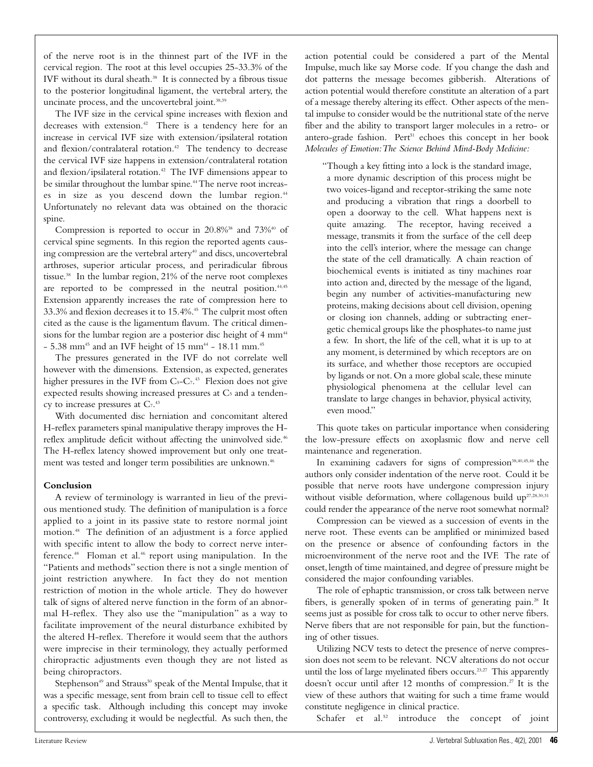of the nerve root is in the thinnest part of the IVF in the cervical region. The root at this level occupies 25-33.3% of the IVF without its dural sheath.<sup>38</sup> It is connected by a fibrous tissue to the posterior longitudinal ligament, the vertebral artery, the uncinate process, and the uncovertebral joint.<sup>38,39</sup>

The IVF size in the cervical spine increases with flexion and decreases with extension.<sup>42</sup> There is a tendency here for an increase in cervical IVF size with extension/ipsilateral rotation and flexion/contralateral rotation.<sup>42</sup> The tendency to decrease the cervical IVF size happens in extension/contralateral rotation and flexion/ipsilateral rotation.<sup>42</sup> The IVF dimensions appear to be similar throughout the lumbar spine.<sup>44</sup> The nerve root increases in size as you descend down the lumbar region.<sup>44</sup> Unfortunately no relevant data was obtained on the thoracic spine.

Compression is reported to occur in  $20.8\%$ <sup>38</sup> and  $73\%$ <sup>40</sup> of cervical spine segments. In this region the reported agents causing compression are the vertebral artery<sup>40</sup> and discs, uncovertebral arthroses, superior articular process, and periradicular fibrous tissue.38 In the lumbar region, 21% of the nerve root complexes are reported to be compressed in the neutral position.<sup>44,45</sup> Extension apparently increases the rate of compression here to 33.3% and flexion decreases it to 15.4%.45 The culprit most often cited as the cause is the ligamentum flavum. The critical dimensions for the lumbar region are a posterior disc height of 4 mm<sup>44</sup>  $- 5.38$  mm<sup>45</sup> and an IVF height of 15 mm<sup>44</sup> - 18.11 mm.<sup>45</sup>

The pressures generated in the IVF do not correlate well however with the dimensions. Extension, as expected, generates higher pressures in the IVF from C<sub>5</sub>-C<sub>7</sub>.<sup>43</sup> Flexion does not give expected results showing increased pressures at C<sub>5</sub> and a tendency to increase pressures at  $C_7$ .<sup>43</sup>

With documented disc herniation and concomitant altered H-reflex parameters spinal manipulative therapy improves the Hreflex amplitude deficit without affecting the uninvolved side.<sup>46</sup> The H-reflex latency showed improvement but only one treatment was tested and longer term possibilities are unknown.<sup>46</sup>

# **Conclusion**

A review of terminology is warranted in lieu of the previous mentioned study. The definition of manipulation is a force applied to a joint in its passive state to restore normal joint motion.48 The definition of an adjustment is a force applied with specific intent to allow the body to correct nerve interference.<sup>48</sup> Floman et al.<sup>46</sup> report using manipulation. In the "Patients and methods" section there is not a single mention of joint restriction anywhere. In fact they do not mention restriction of motion in the whole article. They do however talk of signs of altered nerve function in the form of an abnormal H-reflex. They also use the "manipulation" as a way to facilitate improvement of the neural disturbance exhibited by the altered H-reflex. Therefore it would seem that the authors were imprecise in their terminology, they actually performed chiropractic adjustments even though they are not listed as being chiropractors.

Stephenson<sup>49</sup> and Strauss<sup>50</sup> speak of the Mental Impulse, that it was a specific message, sent from brain cell to tissue cell to effect a specific task. Although including this concept may invoke controversy, excluding it would be neglectful. As such then, the

action potential could be considered a part of the Mental Impulse, much like say Morse code. If you change the dash and dot patterns the message becomes gibberish. Alterations of action potential would therefore constitute an alteration of a part of a message thereby altering its effect. Other aspects of the mental impulse to consider would be the nutritional state of the nerve fiber and the ability to transport larger molecules in a retro- or antero-grade fashion. Pert<sup>51</sup> echoes this concept in her book *Molecules of Emotion:The Science Behind Mind-Body Medicine:*

"Though a key fitting into a lock is the standard image, a more dynamic description of this process might be two voices-ligand and receptor-striking the same note and producing a vibration that rings a doorbell to open a doorway to the cell. What happens next is quite amazing. The receptor, having received a message, transmits it from the surface of the cell deep into the cell's interior, where the message can change the state of the cell dramatically. A chain reaction of biochemical events is initiated as tiny machines roar into action and, directed by the message of the ligand, begin any number of activities-manufacturing new proteins, making decisions about cell division, opening or closing ion channels, adding or subtracting energetic chemical groups like the phosphates-to name just a few. In short, the life of the cell, what it is up to at any moment, is determined by which receptors are on its surface, and whether those receptors are occupied by ligands or not. On a more global scale, these minute physiological phenomena at the cellular level can translate to large changes in behavior, physical activity, even mood."

This quote takes on particular importance when considering the low-pressure effects on axoplasmic flow and nerve cell maintenance and regeneration.

In examining cadavers for signs of compression<sup>38,40,45,46</sup> the authors only consider indentation of the nerve root. Could it be possible that nerve roots have undergone compression injury without visible deformation, where collagenous build up<sup>27,28,30,31</sup> could render the appearance of the nerve root somewhat normal?

Compression can be viewed as a succession of events in the nerve root. These events can be amplified or minimized based on the presence or absence of confounding factors in the microenvironment of the nerve root and the IVF. The rate of onset,length of time maintained,and degree of pressure might be considered the major confounding variables.

The role of ephaptic transmission, or cross talk between nerve fibers, is generally spoken of in terms of generating pain.28 It seems just as possible for cross talk to occur to other nerve fibers. Nerve fibers that are not responsible for pain, but the functioning of other tissues.

Utilizing NCV tests to detect the presence of nerve compression does not seem to be relevant. NCV alterations do not occur until the loss of large myelinated fibers occurs.<sup>23,27</sup> This apparently doesn't occur until after 12 months of compression.<sup>27</sup> It is the view of these authors that waiting for such a time frame would constitute negligence in clinical practice.

Schafer et al.<sup>52</sup> introduce the concept of joint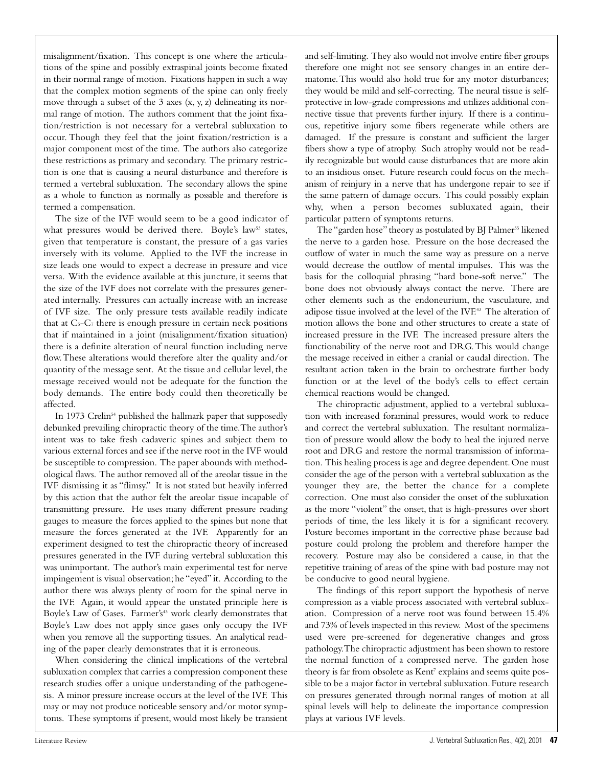misalignment/fixation. This concept is one where the articulations of the spine and possibly extraspinal joints become fixated in their normal range of motion. Fixations happen in such a way that the complex motion segments of the spine can only freely move through a subset of the 3 axes (x, y, z) delineating its normal range of motion. The authors comment that the joint fixation/restriction is not necessary for a vertebral subluxation to occur. Though they feel that the joint fixation/restriction is a major component most of the time. The authors also categorize these restrictions as primary and secondary. The primary restriction is one that is causing a neural disturbance and therefore is termed a vertebral subluxation. The secondary allows the spine as a whole to function as normally as possible and therefore is termed a compensation.

The size of the IVF would seem to be a good indicator of what pressures would be derived there. Boyle's law<sup>53</sup> states, given that temperature is constant, the pressure of a gas varies inversely with its volume. Applied to the IVF the increase in size leads one would to expect a decrease in pressure and vice versa. With the evidence available at this juncture, it seems that the size of the IVF does not correlate with the pressures generated internally. Pressures can actually increase with an increase of IVF size. The only pressure tests available readily indicate that at  $C_5-C_7$  there is enough pressure in certain neck positions that if maintained in a joint (misalignment/fixation situation) there is a definite alteration of neural function including nerve flow.These alterations would therefore alter the quality and/or quantity of the message sent. At the tissue and cellular level, the message received would not be adequate for the function the body demands. The entire body could then theoretically be affected.

In 1973 Crelin<sup>54</sup> published the hallmark paper that supposedly debunked prevailing chiropractic theory of the time.The author's intent was to take fresh cadaveric spines and subject them to various external forces and see if the nerve root in the IVF would be susceptible to compression. The paper abounds with methodological flaws. The author removed all of the areolar tissue in the IVF dismissing it as "flimsy." It is not stated but heavily inferred by this action that the author felt the areolar tissue incapable of transmitting pressure. He uses many different pressure reading gauges to measure the forces applied to the spines but none that measure the forces generated at the IVF. Apparently for an experiment designed to test the chiropractic theory of increased pressures generated in the IVF during vertebral subluxation this was unimportant. The author's main experimental test for nerve impingement is visual observation; he "eyed" it. According to the author there was always plenty of room for the spinal nerve in the IVF. Again, it would appear the unstated principle here is Boyle's Law of Gases. Farmer's<sup>43</sup> work clearly demonstrates that Boyle's Law does not apply since gases only occupy the IVF when you remove all the supporting tissues. An analytical reading of the paper clearly demonstrates that it is erroneous.

When considering the clinical implications of the vertebral subluxation complex that carries a compression component these research studies offer a unique understanding of the pathogenesis. A minor pressure increase occurs at the level of the IVF. This may or may not produce noticeable sensory and/or motor symptoms. These symptoms if present, would most likely be transient and self-limiting. They also would not involve entire fiber groups therefore one might not see sensory changes in an entire dermatome.This would also hold true for any motor disturbances; they would be mild and self-correcting. The neural tissue is selfprotective in low-grade compressions and utilizes additional connective tissue that prevents further injury. If there is a continuous, repetitive injury some fibers regenerate while others are damaged. If the pressure is constant and sufficient the larger fibers show a type of atrophy. Such atrophy would not be readily recognizable but would cause disturbances that are more akin to an insidious onset. Future research could focus on the mechanism of reinjury in a nerve that has undergone repair to see if the same pattern of damage occurs. This could possibly explain why, when a person becomes subluxated again, their particular pattern of symptoms returns.

The "garden hose" theory as postulated by BJ Palmer<sup>55</sup> likened the nerve to a garden hose. Pressure on the hose decreased the outflow of water in much the same way as pressure on a nerve would decrease the outflow of mental impulses. This was the basis for the colloquial phrasing "hard bone-soft nerve." The bone does not obviously always contact the nerve. There are other elements such as the endoneurium, the vasculature, and adipose tissue involved at the level of the IVF.43 The alteration of motion allows the bone and other structures to create a state of increased pressure in the IVF. The increased pressure alters the functionability of the nerve root and DRG.This would change the message received in either a cranial or caudal direction. The resultant action taken in the brain to orchestrate further body function or at the level of the body's cells to effect certain chemical reactions would be changed.

The chiropractic adjustment, applied to a vertebral subluxation with increased foraminal pressures, would work to reduce and correct the vertebral subluxation. The resultant normalization of pressure would allow the body to heal the injured nerve root and DRG and restore the normal transmission of information. This healing process is age and degree dependent.One must consider the age of the person with a vertebral subluxation as the younger they are, the better the chance for a complete correction. One must also consider the onset of the subluxation as the more "violent" the onset, that is high-pressures over short periods of time, the less likely it is for a significant recovery. Posture becomes important in the corrective phase because bad posture could prolong the problem and therefore hamper the recovery. Posture may also be considered a cause, in that the repetitive training of areas of the spine with bad posture may not be conducive to good neural hygiene.

The findings of this report support the hypothesis of nerve compression as a viable process associated with vertebral subluxation. Compression of a nerve root was found between 15.4% and 73% of levels inspected in this review. Most of the specimens used were pre-screened for degenerative changes and gross pathology.The chiropractic adjustment has been shown to restore the normal function of a compressed nerve. The garden hose theory is far from obsolete as Kent<sup>7</sup> explains and seems quite possible to be a major factor in vertebral subluxation. Future research on pressures generated through normal ranges of motion at all spinal levels will help to delineate the importance compression plays at various IVF levels.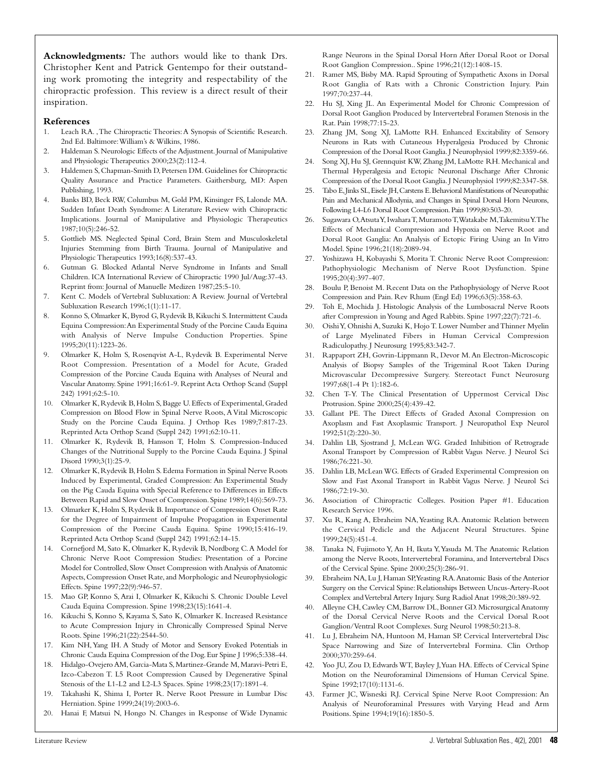**Acknowledgments***:* The authors would like to thank Drs. Christopher Kent and Patrick Gentempo for their outstanding work promoting the integrity and respectability of the chiropractic profession. This review is a direct result of their inspiration.

#### **References**

- 1. Leach RA. ,The Chiropractic Theories:A Synopsis of Scientific Research. 2nd Ed. Baltimore:William's & Wilkins, 1986.
- 2. Haldeman S. Neurologic Effects of the Adjustment. Journal of Manipulative and Physiologic Therapeutics 2000;23(2):112-4.
- 3. Haldemen S, Chapman-Smith D, Petersen DM. Guidelines for Chiropractic Quality Assurance and Practice Parameters. Gaithersburg, MD: Aspen Publishing, 1993.
- 4. Banks BD, Beck RW, Columbus M, Gold PM, Kinsinger FS, Lalonde MA. Sudden Infant Death Syndrome: A Literature Review with Chiropractic Implications. Journal of Manipulative and Physiologic Therapeutics 1987;10(5):246-52.
- 5. Gottlieb MS. Neglected Spinal Cord, Brain Stem and Musculoskeletal Injuries Stemming from Birth Trauma. Journal of Manipulative and Physiologic Therapeutics 1993;16(8):537-43.
- 6. Gutman G. Blocked Atlantal Nerve Syndrome in Infants and Small Children. ICA International Review of Chiropractic 1990 Jul/Aug:37-43. Reprint from: Journal of Manuelle Medizen 1987;25:5-10.
- 7. Kent C. Models of Vertebral Subluxation: A Review. Journal of Vertebral Subluxation Research 1996;1(1):11-17.
- 8. Konno S, Olmarker K, Byrod G, Rydevik B, Kikuchi S. Intermittent Cauda Equina Compression:An Experimental Study of the Porcine Cauda Equina with Analysis of Nerve Impulse Conduction Properties. Spine 1995;20(11):1223-26.
- 9. Olmarker K, Holm S, Rosenqvist A-L, Rydevik B. Experimental Nerve Root Compression. Presentation of a Model for Acute, Graded Compression of the Porcine Cauda Equina with Analyses of Neural and Vascular Anatomy. Spine 1991;16:61-9. Reprint Acta Orthop Scand (Suppl 242) 1991;62:5-10.
- 10. Olmarker K, Rydevik B, Holm S, Bagge U. Effects of Experimental, Graded Compression on Blood Flow in Spinal Nerve Roots, A Vital Microscopic Study on the Porcine Cauda Equina. J Orthop Res 1989;7:817-23. Reprinted Acta Orthop Scand (Suppl 242) 1991;62:10-11.
- 11. Olmarker K, Rydevik B, Hansson T, Holm S. Compression-Induced Changes of the Nutritional Supply to the Porcine Cauda Equina. J Spinal Disord 1990;3(1):25-9.
- 12. Olmarker K, Rydevik B, Holm S. Edema Formation in Spinal Nerve Roots Induced by Experimental, Graded Compression: An Experimental Study on the Pig Cauda Equina with Special Reference to Differences in Effects Between Rapid and Slow Onset of Compression.Spine 1989;14(6):569-73.
- 13. Olmarker K, Holm S, Rydevik B. Importance of Compression Onset Rate for the Degree of Impairment of Impulse Propagation in Experimental Compression of the Porcine Cauda Equina. Spine 1990;15:416-19. Reprinted Acta Orthop Scand (Suppl 242) 1991;62:14-15.
- 14. Cornefjord M, Sato K, Olmarker K, Rydevik B, Nordborg C.A Model for Chronic Nerve Root Compression Studies: Presentation of a Porcine Model for Controlled, Slow Onset Compression with Analysis of Anatomic Aspects,Compression Onset Rate,and Morphologic and Neurophysiologic Effects. Spine 1997;22(9):946-57.
- 15. Mao GP, Konno S, Arai I, Olmarker K, Kikuchi S. Chronic Double Level Cauda Equina Compression. Spine 1998;23(15):1641-4.
- 16. Kikuchi S, Konno S, Kayama S, Sato K, Olmarker K. Increased Resistance to Acute Compression Injury in Chronically Compressed Spinal Nerve Roots. Spine 1996;21(22):2544-50.
- 17. Kim NH, Yang IH. A Study of Motor and Sensory Evoked Potentials in Chronic Cauda Equina Compression of the Dog.Eur Spine J 1996;5:338-44.
- 18. Hidalgo-Ovejero AM, Garcia-Mata S, Martinez-Grande M, Maravi-Petri E, Izco-Cabezon T. L5 Root Compression Caused by Degenerative Spinal Stenosis of the L1-L2 and L2-L3 Spaces. Spine 1998;23(17):1891-4.
- 19. Takahashi K, Shima I, Porter R. Nerve Root Pressure in Lumbar Disc Herniation. Spine 1999;24(19):2003-6.
- 20. Hanai F, Matsui N, Hongo N. Changes in Response of Wide Dynamic

Range Neurons in the Spinal Dorsal Horn After Dorsal Root or Dorsal Root Ganglion Compression.. Spine 1996;21(12):1408-15.

- 21. Ramer MS, Bisby MA. Rapid Sprouting of Sympathetic Axons in Dorsal Root Ganglia of Rats with a Chronic Constriction Injury. Pain 1997;70:237-44.
- 22. Hu SJ, Xing JL. An Experimental Model for Chronic Compression of Dorsal Root Ganglion Produced by Intervertebral Foramen Stenosis in the Rat. Pain 1998;77:15-23.
- 23. Zhang JM, Song XJ, LaMotte RH. Enhanced Excitability of Sensory Neurons in Rats with Cutaneous Hyperalgesia Produced by Chronic Compression of the Dorsal Root Ganglia. J Neurophysiol 1999;82:3359-66.
- 24. Song XJ, Hu SJ, Grennquist KW, Zhang JM, LaMotte RH. Mechanical and Thermal Hyperalgesia and Ectopic Neuronal Discharge After Chronic Compression of the Dorsal Root Ganglia. J Neurophysiol 1999;82:3347-58.
- 25. Tabo E,Jinks SL,Eisele JH,Carstens E.Behavioral Manifestations of Neuropathic Pain and Mechanical Allodynia, and Changes in Spinal Dorsal Horn Neurons, Following L4-L6 Dorsal Root Compression.Pain 1999;80:503-20.
- 26. Sugawara O, Atsuta Y, Iwahara T, Muramoto T, Watakabe M, Takemitsu Y. The Effects of Mechanical Compression and Hypoxia on Nerve Root and Dorsal Root Ganglia: An Analysis of Ectopic Firing Using an In Vitro Model. Spine 1996;21(18):2089-94.
- 27. Yoshizawa H, Kobayashi S, Morita T. Chronic Nerve Root Compression: Pathophysiologic Mechanism of Nerve Root Dysfunction. Spine 1995;20(4):397-407.
- 28. Boulu P, Benoist M. Recent Data on the Pathophysiology of Nerve Root Compression and Pain. Rev Rhum (Engl Ed) 1996;63(5):358-63.
- 29. Toh E, Mochida J. Histologic Analysis of the Lumbosacral Nerve Roots after Compression in Young and Aged Rabbits. Spine 1997;22(7):721-6.
- 30. Oishi Y, Ohnishi A, Suzuki K, Hojo T. Lower Number and Thinner Myelin of Large Myelinated Fibers in Human Cervical Compression Radiculopathy. J Neurosurg 1995;83:342-7.
- 31. Rappaport ZH, Govrin-Lippmann R, Devor M.An Electron-Microscopic Analysis of Biopsy Samples of the Trigeminal Root Taken During Microvascular Decompressive Surgery. Stereotact Funct Neurosurg 1997;68(1-4 Pt 1):182-6.
- 32. Chen T-Y. The Clinical Presentation of Uppermost Cervical Disc Protrusion. Spine 2000;25(4):439-42.
- 33. Gallant PE. The Direct Effects of Graded Axonal Compression on Axoplasm and Fast Axoplasmic Transport. J Neuropathol Exp Neurol 1992;51(2):220-30.
- 34. Dahlin LB, Sjostrand J, McLean WG. Graded Inhibition of Retrograde Axonal Transport by Compression of Rabbit Vagus Nerve. J Neurol Sci 1986;76:221-30.
- 35. Dahlin LB, McLean WG. Effects of Graded Experimental Compression on Slow and Fast Axonal Transport in Rabbit Vagus Nerve. J Neurol Sci 1986;72:19-30.
- 36. Association of Chiropractic Colleges. Position Paper #1. Education Research Service 1996.
- 37. Xu R, Kang A, Ebraheim NA,Yeasting RA. Anatomic Relation between the Cervical Pedicle and the Adjacent Neural Structures. Spine 1999;24(5):451-4.
- 38. Tanaka N, Fujimoto Y, An H, Ikuta Y,Yasuda M. The Anatomic Relation among the Nerve Roots, Intervertebral Foramina, and Intervertebral Discs of the Cervical Spine. Spine 2000;25(3):286-91.
- 39. Ebraheim NA, Lu J, Haman SP,Yeasting RA.Anatomic Basis of the Anterior Surgery on the Cervical Spine: Relationships Between Uncus-Artery-Root Complex and Vertebral Artery Injury. Surg Radiol Anat 1998;20:389-92.
- 40. Alleyne CH,Cawley CM,Barrow DL,Bonner GD.Microsurgical Anatomy of the Dorsal Cervical Nerve Roots and the Cervical Dorsal Root Ganglion/Ventral Root Complexes. Surg Neurol 1998;50:213-8.
- 41. Lu J, Ebraheim NA, Huntoon M, Haman SP. Cervical Intervertebral Disc Space Narrowing and Size of Intervertebral Formina. Clin Orthop 2000;370:259-64.
- 42. Yoo JU, Zou D, Edwards WT, Bayley J,Yuan HA. Effects of Cervical Spine Motion on the Neuroforaminal Dimensions of Human Cervical Spine. Spine 1992;17(10):1131-6.
- 43. Farmer JC, Wisneski RJ. Cervical Spine Nerve Root Compression: An Analysis of Neuroforaminal Pressures with Varying Head and Arm Positions. Spine 1994;19(16):1850-5.